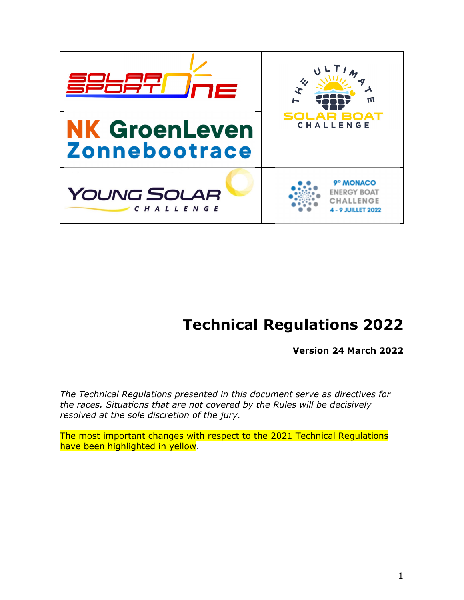

# **Technical Regulations 2022**

**Version 24 March 2022** 

*The Technical Regulations presented in this document serve as directives for the races. Situations that are not covered by the Rules will be decisively resolved at the sole discretion of the jury.* 

The most important changes with respect to the 2021 Technical Regulations have been highlighted in yellow.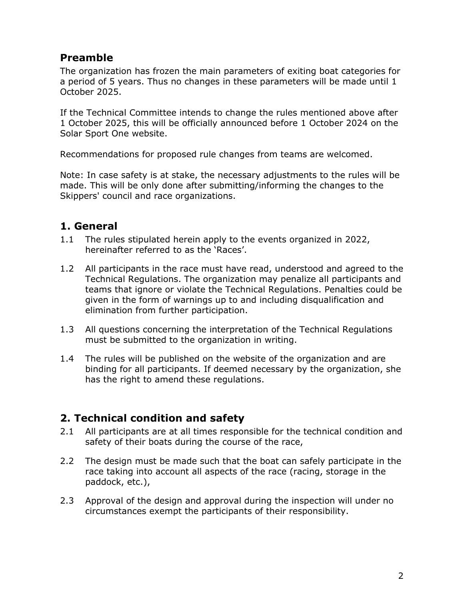# **Preamble**

The organization has frozen the main parameters of exiting boat categories for a period of 5 years. Thus no changes in these parameters will be made until 1 October 2025.

If the Technical Committee intends to change the rules mentioned above after 1 October 2025, this will be officially announced before 1 October 2024 on the Solar Sport One website.

Recommendations for proposed rule changes from teams are welcomed.

Note: In case safety is at stake, the necessary adjustments to the rules will be made. This will be only done after submitting/informing the changes to the Skippers' council and race organizations.

# **1. General**

- 1.1 The rules stipulated herein apply to the events organized in 2022, hereinafter referred to as the 'Races'.
- 1.2 All participants in the race must have read, understood and agreed to the Technical Regulations. The organization may penalize all participants and teams that ignore or violate the Technical Regulations. Penalties could be given in the form of warnings up to and including disqualification and elimination from further participation.
- 1.3 All questions concerning the interpretation of the Technical Regulations must be submitted to the organization in writing.
- 1.4 The rules will be published on the website of the organization and are binding for all participants. If deemed necessary by the organization, she has the right to amend these regulations.

### **2. Technical condition and safety**

- 2.1 All participants are at all times responsible for the technical condition and safety of their boats during the course of the race,
- 2.2 The design must be made such that the boat can safely participate in the race taking into account all aspects of the race (racing, storage in the paddock, etc.),
- 2.3 Approval of the design and approval during the inspection will under no circumstances exempt the participants of their responsibility.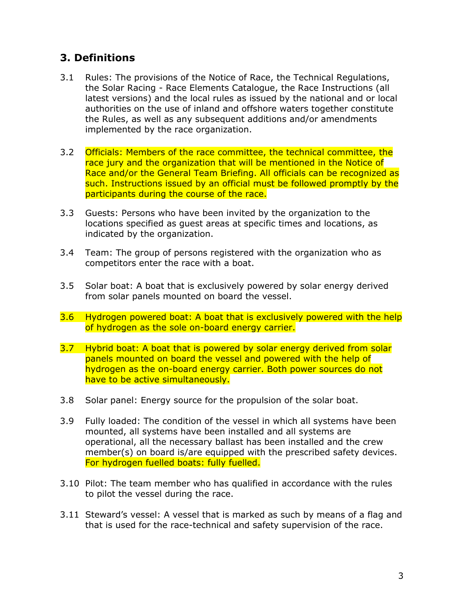# **3. Definitions**

- 3.1 Rules: The provisions of the Notice of Race, the Technical Regulations, the Solar Racing - Race Elements Catalogue, the Race Instructions (all latest versions) and the local rules as issued by the national and or local authorities on the use of inland and offshore waters together constitute the Rules, as well as any subsequent additions and/or amendments implemented by the race organization.
- 3.2 Officials: Members of the race committee, the technical committee, the race jury and the organization that will be mentioned in the Notice of Race and/or the General Team Briefing. All officials can be recognized as such. Instructions issued by an official must be followed promptly by the participants during the course of the race.
- 3.3 Guests: Persons who have been invited by the organization to the locations specified as guest areas at specific times and locations, as indicated by the organization.
- 3.4 Team: The group of persons registered with the organization who as competitors enter the race with a boat.
- 3.5 Solar boat: A boat that is exclusively powered by solar energy derived from solar panels mounted on board the vessel.
- 3.6 Hydrogen powered boat: A boat that is exclusively powered with the help of hydrogen as the sole on-board energy carrier.
- 3.7 Hybrid boat: A boat that is powered by solar energy derived from solar panels mounted on board the vessel and powered with the help of hydrogen as the on-board energy carrier. Both power sources do not have to be active simultaneously.
- 3.8 Solar panel: Energy source for the propulsion of the solar boat.
- 3.9 Fully loaded: The condition of the vessel in which all systems have been mounted, all systems have been installed and all systems are operational, all the necessary ballast has been installed and the crew member(s) on board is/are equipped with the prescribed safety devices. For hydrogen fuelled boats: fully fuelled.
- 3.10 Pilot: The team member who has qualified in accordance with the rules to pilot the vessel during the race.
- 3.11 Steward's vessel: A vessel that is marked as such by means of a flag and that is used for the race-technical and safety supervision of the race.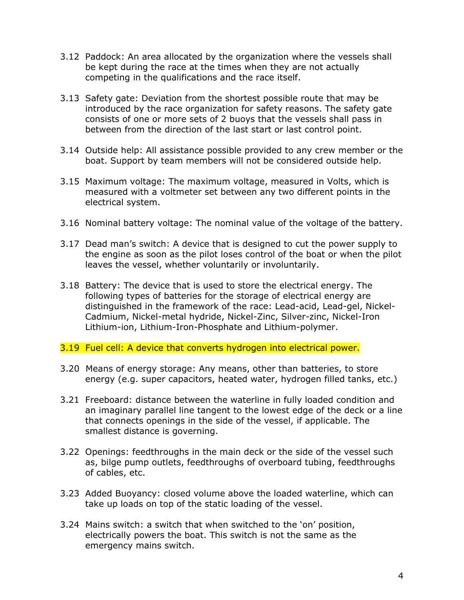- 3.12 Paddock: An area allocated by the organization where the vessels shall be kept during the race at the times when they are not actually competing in the qualifications and the race itself.
- 3.13 Safety gate: Deviation from the shortest possible route that may be introduced by the race organization for safety reasons. The safety gate consists of one or more sets of 2 buoys that the vessels shall pass in between from the direction of the last start or last control point.
- 3.14 Outside help: All assistance possible provided to any crew member or the boat. Support by team members will not be considered outside help.
- 3.15 Maximum voltage: The maximum voltage, measured in Volts, which is measured with a voltmeter set between any two different points in the electrical system.
- 3.16 Nominal battery voltage: The nominal value of the voltage of the battery.
- 3.17 Dead man's switch: A device that is designed to cut the power supply to the engine as soon as the pilot loses control of the boat or when the pilot leaves the vessel, whether voluntarily or involuntarily.
- 3.18 Battery: The device that is used to store the electrical energy. The following types of batteries for the storage of electrical energy are distinguished in the framework of the race: Lead-acid, Lead-gel, Nickel-Cadmium, Nickel-metal hydride, Nickel-Zinc, Silver-zinc, Nickel-Iron Lithium-ion, Lithium-Iron-Phosphate and Lithium-polymer.
- 3.19 Fuel cell: A device that converts hydrogen into electrical power.
- 3.20 Means of energy storage: Any means, other than batteries, to store energy (e.g. super capacitors, heated water, hydrogen filled tanks, etc.)
- 3.21 Freeboard: distance between the waterline in fully loaded condition and an imaginary parallel line tangent to the lowest edge of the deck or a line that connects openings in the side of the vessel, if applicable. The smallest distance is governing.
- 3.22 Openings: feedthroughs in the main deck or the side of the vessel such as, bilge pump outlets, feedthroughs of overboard tubing, feedthroughs of cables, etc.
- 3.23 Added Buoyancy: closed volume above the loaded waterline, which can take up loads on top of the static loading of the vessel.
- 3.24 Mains switch: a switch that when switched to the 'on' position, electrically powers the boat. This switch is not the same as the emergency mains switch.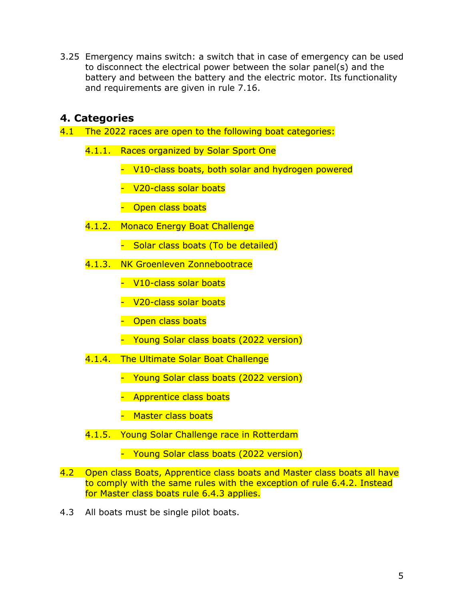3.25 Emergency mains switch: a switch that in case of emergency can be used to disconnect the electrical power between the solar panel(s) and the battery and between the battery and the electric motor. Its functionality and requirements are given in rule 7.16.

### **4. Categories**

- 4.1 The 2022 races are open to the following boat categories:
	- 4.1.1. Races organized by Solar Sport One
		- V10-class boats, both solar and hydrogen powered
		- V20-class solar boats
		- Open class boats
	- 4.1.2. Monaco Energy Boat Challenge
		- Solar class boats (To be detailed)
	- 4.1.3. NK Groenleven Zonnebootrace
		- V10-class solar boats
		- V20-class solar boats
		- Open class boats
		- Young Solar class boats (2022 version)
	- 4.1.4. The Ultimate Solar Boat Challenge
		- Young Solar class boats (2022 version)
		- Apprentice class boats
		- Master class boats
	- 4.1.5. Young Solar Challenge race in Rotterdam
		- Young Solar class boats (2022 version)
- 4.2 Open class Boats, Apprentice class boats and Master class boats all have to comply with the same rules with the exception of rule 6.4.2. Instead for Master class boats rule 6.4.3 applies.
- 4.3 All boats must be single pilot boats.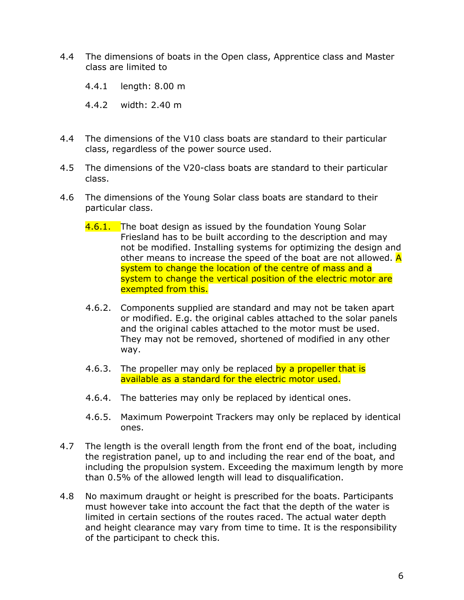- 4.4 The dimensions of boats in the Open class, Apprentice class and Master class are limited to
	- 4.4.1 length: 8.00 m
	- 4.4.2 width: 2.40 m
- 4.4 The dimensions of the V10 class boats are standard to their particular class, regardless of the power source used.
- 4.5 The dimensions of the V20-class boats are standard to their particular class.
- 4.6 The dimensions of the Young Solar class boats are standard to their particular class.
	- 4.6.1. The boat design as issued by the foundation Young Solar Friesland has to be built according to the description and may not be modified. Installing systems for optimizing the design and other means to increase the speed of the boat are not allowed.  $\overline{A}$ system to change the location of the centre of mass and a system to change the vertical position of the electric motor are exempted from this.
	- 4.6.2. Components supplied are standard and may not be taken apart or modified. E.g. the original cables attached to the solar panels and the original cables attached to the motor must be used. They may not be removed, shortened of modified in any other way.
	- 4.6.3. The propeller may only be replaced by a propeller that is available as a standard for the electric motor used.
	- 4.6.4. The batteries may only be replaced by identical ones.
	- 4.6.5. Maximum Powerpoint Trackers may only be replaced by identical ones.
- 4.7 The length is the overall length from the front end of the boat, including the registration panel, up to and including the rear end of the boat, and including the propulsion system. Exceeding the maximum length by more than 0.5% of the allowed length will lead to disqualification.
- 4.8 No maximum draught or height is prescribed for the boats. Participants must however take into account the fact that the depth of the water is limited in certain sections of the routes raced. The actual water depth and height clearance may vary from time to time. It is the responsibility of the participant to check this.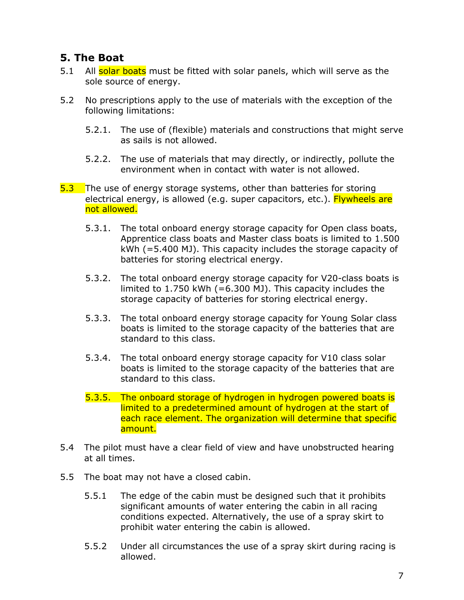# **5. The Boat**

- 5.1 All solar boats must be fitted with solar panels, which will serve as the sole source of energy.
- 5.2 No prescriptions apply to the use of materials with the exception of the following limitations:
	- 5.2.1. The use of (flexible) materials and constructions that might serve as sails is not allowed.
	- 5.2.2. The use of materials that may directly, or indirectly, pollute the environment when in contact with water is not allowed.
- 5.3 The use of energy storage systems, other than batteries for storing electrical energy, is allowed (e.g. super capacitors, etc.). Flywheels are not allowed.
	- 5.3.1. The total onboard energy storage capacity for Open class boats, Apprentice class boats and Master class boats is limited to 1.500 kWh (=5.400 MJ). This capacity includes the storage capacity of batteries for storing electrical energy.
	- 5.3.2. The total onboard energy storage capacity for V20-class boats is limited to 1.750 kWh (=6.300 MJ). This capacity includes the storage capacity of batteries for storing electrical energy.
	- 5.3.3. The total onboard energy storage capacity for Young Solar class boats is limited to the storage capacity of the batteries that are standard to this class.
	- 5.3.4. The total onboard energy storage capacity for V10 class solar boats is limited to the storage capacity of the batteries that are standard to this class.
	- 5.3.5. The onboard storage of hydrogen in hydrogen powered boats is limited to a predetermined amount of hydrogen at the start of each race element. The organization will determine that specific amount.
- 5.4 The pilot must have a clear field of view and have unobstructed hearing at all times.
- 5.5 The boat may not have a closed cabin.
	- 5.5.1 The edge of the cabin must be designed such that it prohibits significant amounts of water entering the cabin in all racing conditions expected. Alternatively, the use of a spray skirt to prohibit water entering the cabin is allowed.
	- 5.5.2 Under all circumstances the use of a spray skirt during racing is allowed.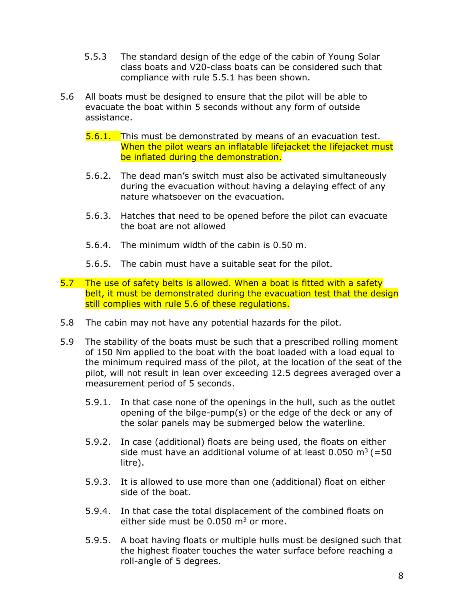- 5.5.3 The standard design of the edge of the cabin of Young Solar class boats and V20-class boats can be considered such that compliance with rule 5.5.1 has been shown.
- 5.6 All boats must be designed to ensure that the pilot will be able to evacuate the boat within 5 seconds without any form of outside assistance.
	- **5.6.1.** This must be demonstrated by means of an evacuation test. When the pilot wears an inflatable lifejacket the lifejacket must be inflated during the demonstration.
	- 5.6.2. The dead man's switch must also be activated simultaneously during the evacuation without having a delaying effect of any nature whatsoever on the evacuation.
	- 5.6.3. Hatches that need to be opened before the pilot can evacuate the boat are not allowed
	- 5.6.4. The minimum width of the cabin is 0.50 m.
	- 5.6.5. The cabin must have a suitable seat for the pilot.
- 5.7 The use of safety belts is allowed. When a boat is fitted with a safety belt, it must be demonstrated during the evacuation test that the design still complies with rule 5.6 of these regulations.
- 5.8 The cabin may not have any potential hazards for the pilot.
- 5.9 The stability of the boats must be such that a prescribed rolling moment of 150 Nm applied to the boat with the boat loaded with a load equal to the minimum required mass of the pilot, at the location of the seat of the pilot, will not result in lean over exceeding 12.5 degrees averaged over a measurement period of 5 seconds.
	- 5.9.1. In that case none of the openings in the hull, such as the outlet opening of the bilge-pump(s) or the edge of the deck or any of the solar panels may be submerged below the waterline.
	- 5.9.2. In case (additional) floats are being used, the floats on either side must have an additional volume of at least  $0.050 \text{ m}^3$  (=50 litre).
	- 5.9.3. It is allowed to use more than one (additional) float on either side of the boat.
	- 5.9.4. In that case the total displacement of the combined floats on either side must be  $0.050$  m<sup>3</sup> or more.
	- 5.9.5. A boat having floats or multiple hulls must be designed such that the highest floater touches the water surface before reaching a roll-angle of 5 degrees.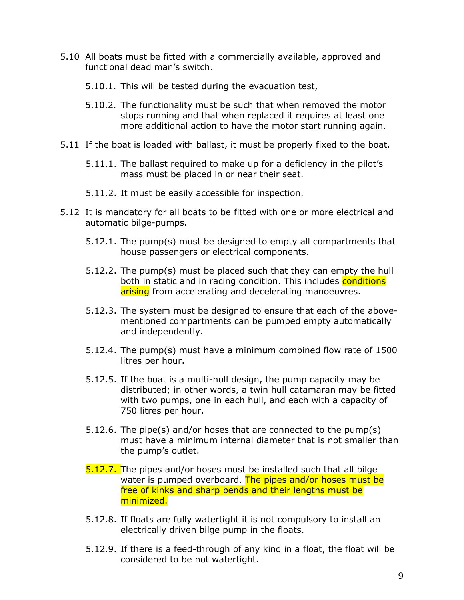- 5.10 All boats must be fitted with a commercially available, approved and functional dead man's switch.
	- 5.10.1. This will be tested during the evacuation test,
	- 5.10.2. The functionality must be such that when removed the motor stops running and that when replaced it requires at least one more additional action to have the motor start running again.
- 5.11 If the boat is loaded with ballast, it must be properly fixed to the boat.
	- 5.11.1. The ballast required to make up for a deficiency in the pilot's mass must be placed in or near their seat.
	- 5.11.2. It must be easily accessible for inspection.
- 5.12 It is mandatory for all boats to be fitted with one or more electrical and automatic bilge-pumps.
	- 5.12.1. The pump(s) must be designed to empty all compartments that house passengers or electrical components.
	- 5.12.2. The pump(s) must be placed such that they can empty the hull both in static and in racing condition. This includes conditions arising from accelerating and decelerating manoeuvres.
	- 5.12.3. The system must be designed to ensure that each of the abovementioned compartments can be pumped empty automatically and independently.
	- 5.12.4. The pump(s) must have a minimum combined flow rate of 1500 litres per hour.
	- 5.12.5. If the boat is a multi-hull design, the pump capacity may be distributed; in other words, a twin hull catamaran may be fitted with two pumps, one in each hull, and each with a capacity of 750 litres per hour.
	- 5.12.6. The pipe(s) and/or hoses that are connected to the pump(s) must have a minimum internal diameter that is not smaller than the pump's outlet.
	- 5.12.7. The pipes and/or hoses must be installed such that all bilge water is pumped overboard. The pipes and/or hoses must be free of kinks and sharp bends and their lengths must be minimized.
	- 5.12.8. If floats are fully watertight it is not compulsory to install an electrically driven bilge pump in the floats.
	- 5.12.9. If there is a feed-through of any kind in a float, the float will be considered to be not watertight.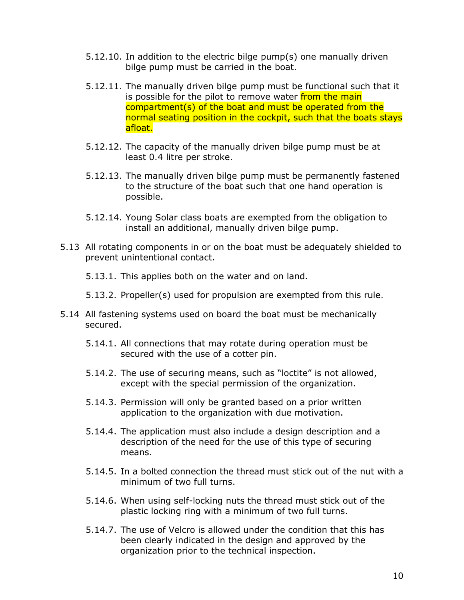- 5.12.10. In addition to the electric bilge pump(s) one manually driven bilge pump must be carried in the boat.
- 5.12.11. The manually driven bilge pump must be functional such that it is possible for the pilot to remove water from the main compartment(s) of the boat and must be operated from the normal seating position in the cockpit, such that the boats stays afloat.
- 5.12.12. The capacity of the manually driven bilge pump must be at least 0.4 litre per stroke.
- 5.12.13. The manually driven bilge pump must be permanently fastened to the structure of the boat such that one hand operation is possible.
- 5.12.14. Young Solar class boats are exempted from the obligation to install an additional, manually driven bilge pump.
- 5.13 All rotating components in or on the boat must be adequately shielded to prevent unintentional contact.

5.13.1. This applies both on the water and on land.

- 5.13.2. Propeller(s) used for propulsion are exempted from this rule.
- 5.14 All fastening systems used on board the boat must be mechanically secured.
	- 5.14.1. All connections that may rotate during operation must be secured with the use of a cotter pin.
	- 5.14.2. The use of securing means, such as "loctite" is not allowed, except with the special permission of the organization.
	- 5.14.3. Permission will only be granted based on a prior written application to the organization with due motivation.
	- 5.14.4. The application must also include a design description and a description of the need for the use of this type of securing means.
	- 5.14.5. In a bolted connection the thread must stick out of the nut with a minimum of two full turns.
	- 5.14.6. When using self-locking nuts the thread must stick out of the plastic locking ring with a minimum of two full turns.
	- 5.14.7. The use of Velcro is allowed under the condition that this has been clearly indicated in the design and approved by the organization prior to the technical inspection.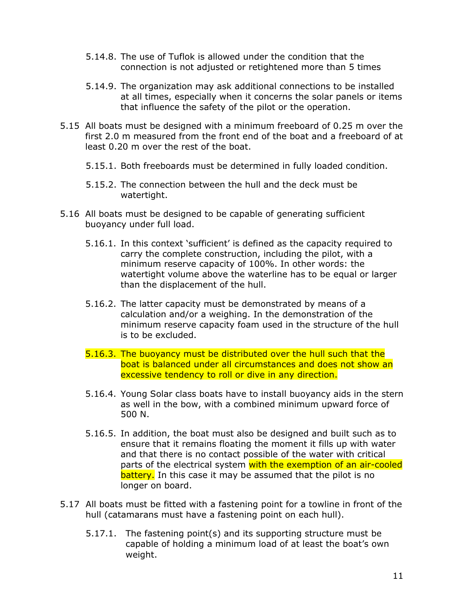- 5.14.8. The use of Tuflok is allowed under the condition that the connection is not adjusted or retightened more than 5 times
- 5.14.9. The organization may ask additional connections to be installed at all times, especially when it concerns the solar panels or items that influence the safety of the pilot or the operation.
- 5.15 All boats must be designed with a minimum freeboard of 0.25 m over the first 2.0 m measured from the front end of the boat and a freeboard of at least 0.20 m over the rest of the boat.
	- 5.15.1. Both freeboards must be determined in fully loaded condition.
	- 5.15.2. The connection between the hull and the deck must be watertight.
- 5.16 All boats must be designed to be capable of generating sufficient buoyancy under full load.
	- 5.16.1. In this context 'sufficient' is defined as the capacity required to carry the complete construction, including the pilot, with a minimum reserve capacity of 100%. In other words: the watertight volume above the waterline has to be equal or larger than the displacement of the hull.
	- 5.16.2. The latter capacity must be demonstrated by means of a calculation and/or a weighing. In the demonstration of the minimum reserve capacity foam used in the structure of the hull is to be excluded.
	- 5.16.3. The buoyancy must be distributed over the hull such that the boat is balanced under all circumstances and does not show an excessive tendency to roll or dive in any direction.
	- 5.16.4. Young Solar class boats have to install buoyancy aids in the stern as well in the bow, with a combined minimum upward force of 500 N.
	- 5.16.5. In addition, the boat must also be designed and built such as to ensure that it remains floating the moment it fills up with water and that there is no contact possible of the water with critical parts of the electrical system with the exemption of an air-cooled **battery.** In this case it may be assumed that the pilot is no longer on board.
- 5.17 All boats must be fitted with a fastening point for a towline in front of the hull (catamarans must have a fastening point on each hull).
	- 5.17.1. The fastening point(s) and its supporting structure must be capable of holding a minimum load of at least the boat's own weight.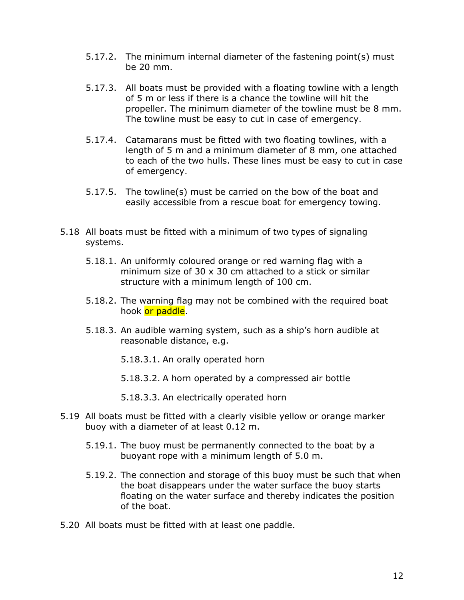- 5.17.2. The minimum internal diameter of the fastening point(s) must be 20 mm.
- 5.17.3. All boats must be provided with a floating towline with a length of 5 m or less if there is a chance the towline will hit the propeller. The minimum diameter of the towline must be 8 mm. The towline must be easy to cut in case of emergency.
- 5.17.4. Catamarans must be fitted with two floating towlines, with a length of 5 m and a minimum diameter of 8 mm, one attached to each of the two hulls. These lines must be easy to cut in case of emergency.
- 5.17.5. The towline(s) must be carried on the bow of the boat and easily accessible from a rescue boat for emergency towing.
- 5.18 All boats must be fitted with a minimum of two types of signaling systems.
	- 5.18.1. An uniformly coloured orange or red warning flag with a minimum size of 30 x 30 cm attached to a stick or similar structure with a minimum length of 100 cm.
	- 5.18.2. The warning flag may not be combined with the required boat hook or paddle.
	- 5.18.3. An audible warning system, such as a ship's horn audible at reasonable distance, e.g.
		- 5.18.3.1. An orally operated horn
		- 5.18.3.2. A horn operated by a compressed air bottle
		- 5.18.3.3. An electrically operated horn
- 5.19 All boats must be fitted with a clearly visible yellow or orange marker buoy with a diameter of at least 0.12 m.
	- 5.19.1. The buoy must be permanently connected to the boat by a buoyant rope with a minimum length of 5.0 m.
	- 5.19.2. The connection and storage of this buoy must be such that when the boat disappears under the water surface the buoy starts floating on the water surface and thereby indicates the position of the boat.
- 5.20 All boats must be fitted with at least one paddle.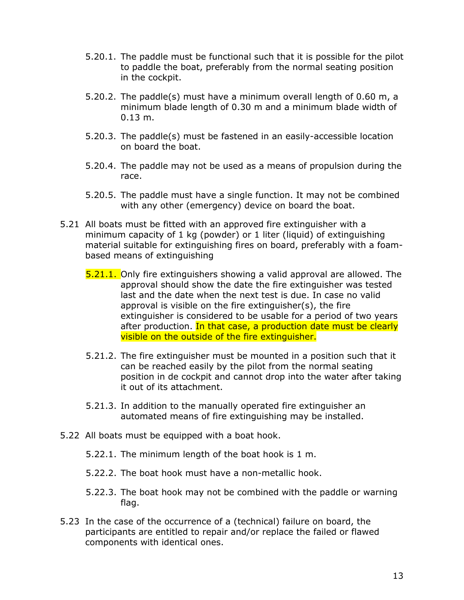- 5.20.1. The paddle must be functional such that it is possible for the pilot to paddle the boat, preferably from the normal seating position in the cockpit.
- 5.20.2. The paddle(s) must have a minimum overall length of 0.60 m, a minimum blade length of 0.30 m and a minimum blade width of 0.13 m.
- 5.20.3. The paddle(s) must be fastened in an easily-accessible location on board the boat.
- 5.20.4. The paddle may not be used as a means of propulsion during the race.
- 5.20.5. The paddle must have a single function. It may not be combined with any other (emergency) device on board the boat.
- 5.21 All boats must be fitted with an approved fire extinguisher with a minimum capacity of 1 kg (powder) or 1 liter (liquid) of extinguishing material suitable for extinguishing fires on board, preferably with a foambased means of extinguishing
	- 5.21.1. Only fire extinguishers showing a valid approval are allowed. The approval should show the date the fire extinguisher was tested last and the date when the next test is due. In case no valid approval is visible on the fire extinguisher(s), the fire extinguisher is considered to be usable for a period of two years after production. In that case, a production date must be clearly visible on the outside of the fire extinguisher.
	- 5.21.2. The fire extinguisher must be mounted in a position such that it can be reached easily by the pilot from the normal seating position in de cockpit and cannot drop into the water after taking it out of its attachment.
	- 5.21.3. In addition to the manually operated fire extinguisher an automated means of fire extinguishing may be installed.
- 5.22 All boats must be equipped with a boat hook.
	- 5.22.1. The minimum length of the boat hook is 1 m.
	- 5.22.2. The boat hook must have a non-metallic hook.
	- 5.22.3. The boat hook may not be combined with the paddle or warning flag.
- 5.23 In the case of the occurrence of a (technical) failure on board, the participants are entitled to repair and/or replace the failed or flawed components with identical ones.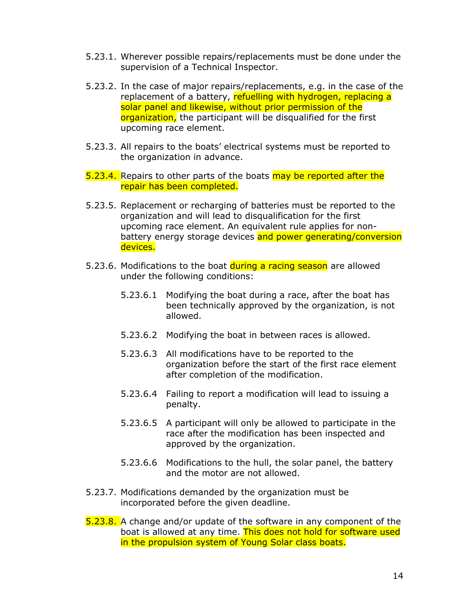- 5.23.1. Wherever possible repairs/replacements must be done under the supervision of a Technical Inspector.
- 5.23.2. In the case of major repairs/replacements, e.g. in the case of the replacement of a battery, refuelling with hydrogen, replacing a solar panel and likewise, without prior permission of the organization, the participant will be disqualified for the first upcoming race element.
- 5.23.3. All repairs to the boats' electrical systems must be reported to the organization in advance.
- 5.23.4. Repairs to other parts of the boats may be reported after the repair has been completed.
- 5.23.5. Replacement or recharging of batteries must be reported to the organization and will lead to disqualification for the first upcoming race element. An equivalent rule applies for nonbattery energy storage devices and power generating/conversion devices.
- 5.23.6. Modifications to the boat during a racing season are allowed under the following conditions:
	- 5.23.6.1 Modifying the boat during a race, after the boat has been technically approved by the organization, is not allowed.
	- 5.23.6.2 Modifying the boat in between races is allowed.
	- 5.23.6.3 All modifications have to be reported to the organization before the start of the first race element after completion of the modification.
	- 5.23.6.4 Failing to report a modification will lead to issuing a penalty.
	- 5.23.6.5 A participant will only be allowed to participate in the race after the modification has been inspected and approved by the organization.
	- 5.23.6.6 Modifications to the hull, the solar panel, the battery and the motor are not allowed.
- 5.23.7. Modifications demanded by the organization must be incorporated before the given deadline.
- 5.23.8. A change and/or update of the software in any component of the boat is allowed at any time. This does not hold for software used in the propulsion system of Young Solar class boats.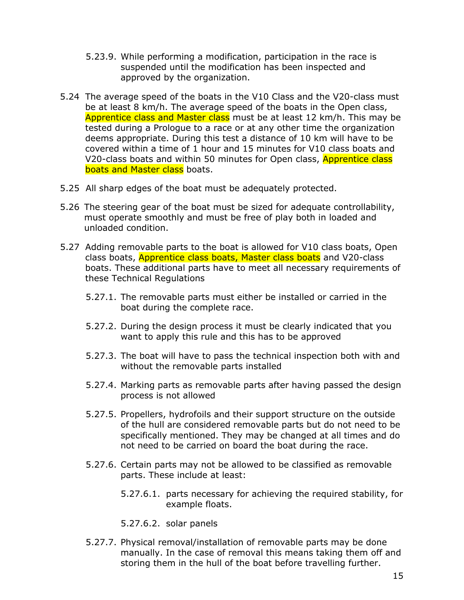- 5.23.9. While performing a modification, participation in the race is suspended until the modification has been inspected and approved by the organization.
- 5.24 The average speed of the boats in the V10 Class and the V20-class must be at least 8 km/h. The average speed of the boats in the Open class, Apprentice class and Master class must be at least 12 km/h. This may be tested during a Prologue to a race or at any other time the organization deems appropriate. During this test a distance of 10 km will have to be covered within a time of 1 hour and 15 minutes for V10 class boats and V20-class boats and within 50 minutes for Open class, **Apprentice class** boats and Master class boats.
- 5.25 All sharp edges of the boat must be adequately protected.
- 5.26 The steering gear of the boat must be sized for adequate controllability, must operate smoothly and must be free of play both in loaded and unloaded condition.
- 5.27 Adding removable parts to the boat is allowed for V10 class boats, Open class boats, **Apprentice class boats, Master class boats** and V20-class boats. These additional parts have to meet all necessary requirements of these Technical Regulations
	- 5.27.1. The removable parts must either be installed or carried in the boat during the complete race.
	- 5.27.2. During the design process it must be clearly indicated that you want to apply this rule and this has to be approved
	- 5.27.3. The boat will have to pass the technical inspection both with and without the removable parts installed
	- 5.27.4. Marking parts as removable parts after having passed the design process is not allowed
	- 5.27.5. Propellers, hydrofoils and their support structure on the outside of the hull are considered removable parts but do not need to be specifically mentioned. They may be changed at all times and do not need to be carried on board the boat during the race.
	- 5.27.6. Certain parts may not be allowed to be classified as removable parts. These include at least:
		- 5.27.6.1. parts necessary for achieving the required stability, for example floats.
		- 5.27.6.2. solar panels
	- 5.27.7. Physical removal/installation of removable parts may be done manually. In the case of removal this means taking them off and storing them in the hull of the boat before travelling further.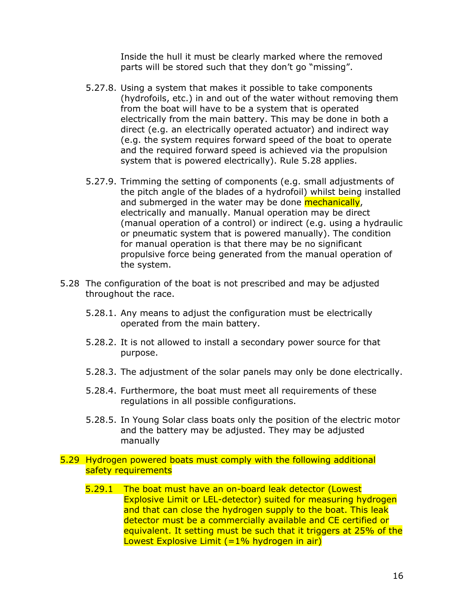Inside the hull it must be clearly marked where the removed parts will be stored such that they don't go "missing".

- 5.27.8. Using a system that makes it possible to take components (hydrofoils, etc.) in and out of the water without removing them from the boat will have to be a system that is operated electrically from the main battery. This may be done in both a direct (e.g. an electrically operated actuator) and indirect way (e.g. the system requires forward speed of the boat to operate and the required forward speed is achieved via the propulsion system that is powered electrically). Rule 5.28 applies.
- 5.27.9. Trimming the setting of components (e.g. small adjustments of the pitch angle of the blades of a hydrofoil) whilst being installed and submerged in the water may be done mechanically, electrically and manually. Manual operation may be direct (manual operation of a control) or indirect (e.g. using a hydraulic or pneumatic system that is powered manually). The condition for manual operation is that there may be no significant propulsive force being generated from the manual operation of the system.
- 5.28 The configuration of the boat is not prescribed and may be adjusted throughout the race.
	- 5.28.1. Any means to adjust the configuration must be electrically operated from the main battery.
	- 5.28.2. It is not allowed to install a secondary power source for that purpose.
	- 5.28.3. The adjustment of the solar panels may only be done electrically.
	- 5.28.4. Furthermore, the boat must meet all requirements of these regulations in all possible configurations.
	- 5.28.5. In Young Solar class boats only the position of the electric motor and the battery may be adjusted. They may be adjusted manually

#### 5.29 Hydrogen powered boats must comply with the following additional safety requirements

5.29.1 The boat must have an on-board leak detector (Lowest Explosive Limit or LEL-detector) suited for measuring hydrogen and that can close the hydrogen supply to the boat. This leak detector must be a commercially available and CE certified or equivalent. It setting must be such that it triggers at 25% of the Lowest Explosive Limit  $(=1\%$  hydrogen in air)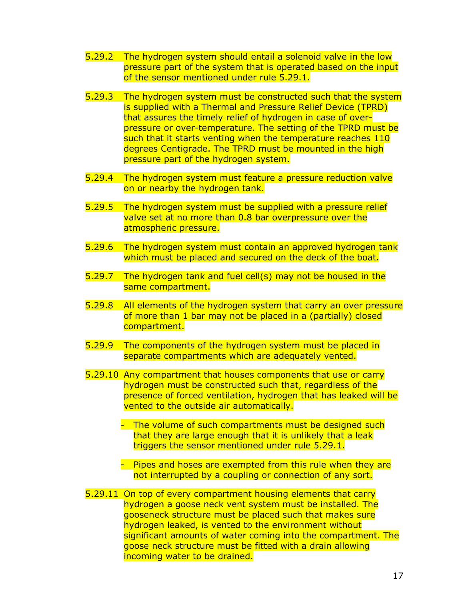- 5.29.2 The hydrogen system should entail a solenoid valve in the low pressure part of the system that is operated based on the input of the sensor mentioned under rule 5.29.1.
- 5.29.3 The hydrogen system must be constructed such that the system is supplied with a Thermal and Pressure Relief Device (TPRD) that assures the timely relief of hydrogen in case of overpressure or over-temperature. The setting of the TPRD must be such that it starts venting when the temperature reaches 110 degrees Centigrade. The TPRD must be mounted in the high pressure part of the hydrogen system.
- 5.29.4 The hydrogen system must feature a pressure reduction valve on or nearby the hydrogen tank.
- 5.29.5 The hydrogen system must be supplied with a pressure relief valve set at no more than 0.8 bar overpressure over the atmospheric pressure.
- 5.29.6 The hydrogen system must contain an approved hydrogen tank which must be placed and secured on the deck of the boat.
- 5.29.7 The hydrogen tank and fuel cell(s) may not be housed in the same compartment.
- 5.29.8 All elements of the hydrogen system that carry an over pressure of more than 1 bar may not be placed in a (partially) closed compartment.
- 5.29.9 The components of the hydrogen system must be placed in separate compartments which are adequately vented.
- 5.29.10 Any compartment that houses components that use or carry hydrogen must be constructed such that, regardless of the presence of forced ventilation, hydrogen that has leaked will be vented to the outside air automatically.
	- The volume of such compartments must be designed such that they are large enough that it is unlikely that a leak triggers the sensor mentioned under rule 5.29.1.
	- Pipes and hoses are exempted from this rule when they are not interrupted by a coupling or connection of any sort.
- 5.29.11 On top of every compartment housing elements that carry hydrogen a goose neck vent system must be installed. The gooseneck structure must be placed such that makes sure hydrogen leaked, is vented to the environment without significant amounts of water coming into the compartment. The goose neck structure must be fitted with a drain allowing incoming water to be drained.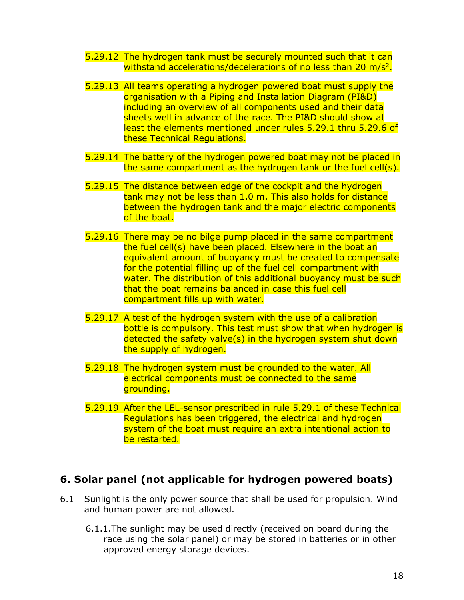- 5.29.12 The hydrogen tank must be securely mounted such that it can withstand accelerations/decelerations of no less than 20 m/s<sup>2</sup>.
- 5.29.13 All teams operating a hydrogen powered boat must supply the organisation with a Piping and Installation Diagram (PI&D) including an overview of all components used and their data sheets well in advance of the race. The PI&D should show at least the elements mentioned under rules 5.29.1 thru 5.29.6 of these Technical Regulations.
- 5.29.14 The battery of the hydrogen powered boat may not be placed in the same compartment as the hydrogen tank or the fuel cell(s).
- 5.29.15 The distance between edge of the cockpit and the hydrogen tank may not be less than 1.0 m. This also holds for distance between the hydrogen tank and the major electric components of the boat.
- 5.29.16 There may be no bilge pump placed in the same compartment the fuel cell(s) have been placed. Elsewhere in the boat an equivalent amount of buoyancy must be created to compensate for the potential filling up of the fuel cell compartment with water. The distribution of this additional buoyancy must be such that the boat remains balanced in case this fuel cell compartment fills up with water.
- 5.29.17 A test of the hydrogen system with the use of a calibration bottle is compulsory. This test must show that when hydrogen is detected the safety valve(s) in the hydrogen system shut down the supply of hydrogen.
- 5.29.18 The hydrogen system must be grounded to the water. All electrical components must be connected to the same grounding.
- 5.29.19 After the LEL-sensor prescribed in rule 5.29.1 of these Technical Regulations has been triggered, the electrical and hydrogen system of the boat must require an extra intentional action to be restarted.

### **6. Solar panel (not applicable for hydrogen powered boats)**

- 6.1 Sunlight is the only power source that shall be used for propulsion. Wind and human power are not allowed.
	- 6.1.1.The sunlight may be used directly (received on board during the race using the solar panel) or may be stored in batteries or in other approved energy storage devices.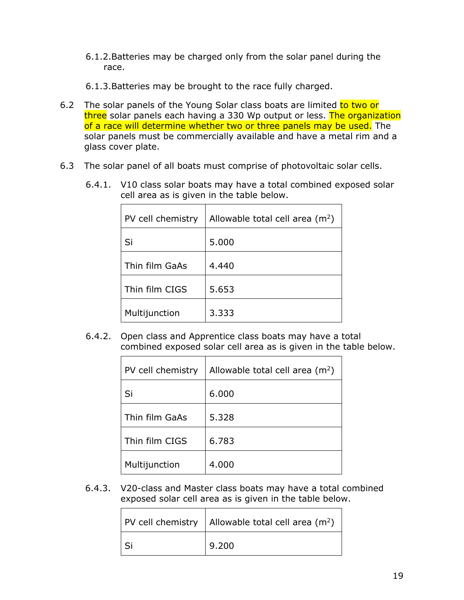- 6.1.2.Batteries may be charged only from the solar panel during the race.
- 6.1.3.Batteries may be brought to the race fully charged.
- 6.2 The solar panels of the Young Solar class boats are limited to two or three solar panels each having a 330 Wp output or less. The organization of a race will determine whether two or three panels may be used. The solar panels must be commercially available and have a metal rim and a glass cover plate.
- 6.3 The solar panel of all boats must comprise of photovoltaic solar cells.

| PV cell chemistry | Allowable total cell area $(m2)$ |
|-------------------|----------------------------------|
| Si                | 5.000                            |
| Thin film GaAs    | 4.440                            |
| Thin film CIGS    | 5.653                            |
| Multijunction     | 3.333                            |

6.4.1. V10 class solar boats may have a total combined exposed solar cell area as is given in the table below.

6.4.2. Open class and Apprentice class boats may have a total combined exposed solar cell area as is given in the table below.

| PV cell chemistry | Allowable total cell area $(m2)$ |
|-------------------|----------------------------------|
| Si                | 6.000                            |
| Thin film GaAs    | 5.328                            |
| Thin film CIGS    | 6.783                            |
| Multijunction     | 4.000                            |

6.4.3. V20-class and Master class boats may have a total combined exposed solar cell area as is given in the table below.

| PV cell chemistry   Allowable total cell area $(m^2)$ |
|-------------------------------------------------------|
| 9.200                                                 |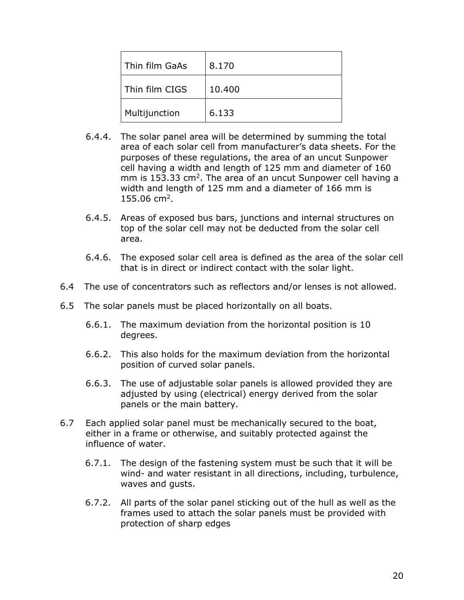| Thin film GaAs | 8.170  |
|----------------|--------|
| Thin film CIGS | 10.400 |
| Multijunction  | 6.133  |

- 6.4.4. The solar panel area will be determined by summing the total area of each solar cell from manufacturer's data sheets. For the purposes of these regulations, the area of an uncut Sunpower cell having a width and length of 125 mm and diameter of 160 mm is 153.33  $\text{cm}^2$ . The area of an uncut Sunpower cell having a width and length of 125 mm and a diameter of 166 mm is 155.06 cm2.
- 6.4.5. Areas of exposed bus bars, junctions and internal structures on top of the solar cell may not be deducted from the solar cell area.
- 6.4.6. The exposed solar cell area is defined as the area of the solar cell that is in direct or indirect contact with the solar light.
- 6.4 The use of concentrators such as reflectors and/or lenses is not allowed.
- 6.5 The solar panels must be placed horizontally on all boats.
	- 6.6.1. The maximum deviation from the horizontal position is 10 degrees.
	- 6.6.2. This also holds for the maximum deviation from the horizontal position of curved solar panels.
	- 6.6.3. The use of adjustable solar panels is allowed provided they are adjusted by using (electrical) energy derived from the solar panels or the main battery.
- 6.7 Each applied solar panel must be mechanically secured to the boat, either in a frame or otherwise, and suitably protected against the influence of water.
	- 6.7.1. The design of the fastening system must be such that it will be wind- and water resistant in all directions, including, turbulence, waves and gusts.
	- 6.7.2. All parts of the solar panel sticking out of the hull as well as the frames used to attach the solar panels must be provided with protection of sharp edges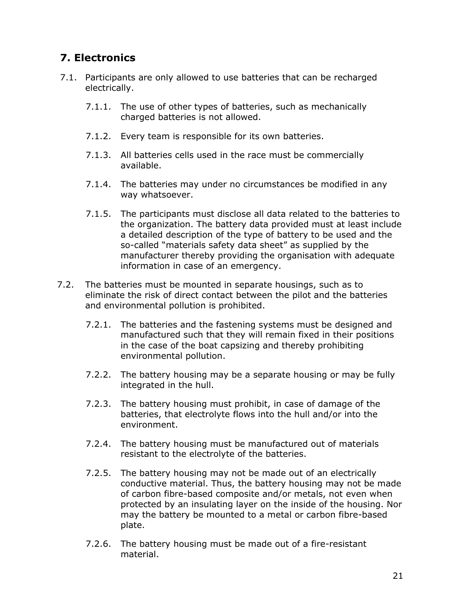# **7. Electronics**

- 7.1. Participants are only allowed to use batteries that can be recharged electrically.
	- 7.1.1. The use of other types of batteries, such as mechanically charged batteries is not allowed.
	- 7.1.2. Every team is responsible for its own batteries.
	- 7.1.3. All batteries cells used in the race must be commercially available.
	- 7.1.4. The batteries may under no circumstances be modified in any way whatsoever.
	- 7.1.5. The participants must disclose all data related to the batteries to the organization. The battery data provided must at least include a detailed description of the type of battery to be used and the so-called "materials safety data sheet" as supplied by the manufacturer thereby providing the organisation with adequate information in case of an emergency.
- 7.2. The batteries must be mounted in separate housings, such as to eliminate the risk of direct contact between the pilot and the batteries and environmental pollution is prohibited.
	- 7.2.1. The batteries and the fastening systems must be designed and manufactured such that they will remain fixed in their positions in the case of the boat capsizing and thereby prohibiting environmental pollution.
	- 7.2.2. The battery housing may be a separate housing or may be fully integrated in the hull.
	- 7.2.3. The battery housing must prohibit, in case of damage of the batteries, that electrolyte flows into the hull and/or into the environment.
	- 7.2.4. The battery housing must be manufactured out of materials resistant to the electrolyte of the batteries.
	- 7.2.5. The battery housing may not be made out of an electrically conductive material. Thus, the battery housing may not be made of carbon fibre-based composite and/or metals, not even when protected by an insulating layer on the inside of the housing. Nor may the battery be mounted to a metal or carbon fibre-based plate.
	- 7.2.6. The battery housing must be made out of a fire-resistant material.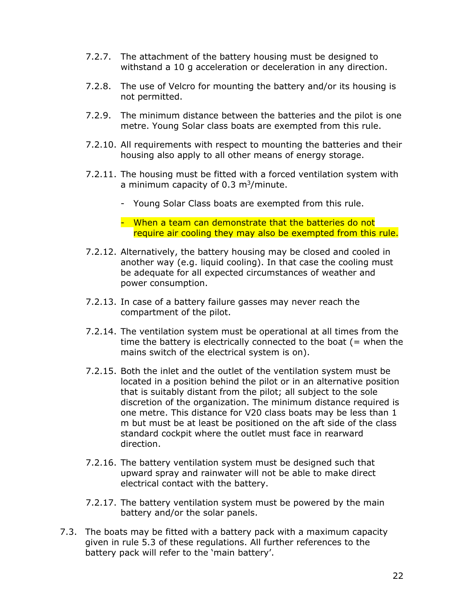- 7.2.7. The attachment of the battery housing must be designed to withstand a 10 g acceleration or deceleration in any direction.
- 7.2.8. The use of Velcro for mounting the battery and/or its housing is not permitted.
- 7.2.9. The minimum distance between the batteries and the pilot is one metre. Young Solar class boats are exempted from this rule.
- 7.2.10. All requirements with respect to mounting the batteries and their housing also apply to all other means of energy storage.
- 7.2.11. The housing must be fitted with a forced ventilation system with a minimum capacity of  $0.3 \text{ m}^3/\text{minute}$ .
	- Young Solar Class boats are exempted from this rule.
	- When a team can demonstrate that the batteries do not require air cooling they may also be exempted from this rule.
- 7.2.12. Alternatively, the battery housing may be closed and cooled in another way (e.g. liquid cooling). In that case the cooling must be adequate for all expected circumstances of weather and power consumption.
- 7.2.13. In case of a battery failure gasses may never reach the compartment of the pilot.
- 7.2.14. The ventilation system must be operational at all times from the time the battery is electrically connected to the boat  $($  = when the mains switch of the electrical system is on).
- 7.2.15. Both the inlet and the outlet of the ventilation system must be located in a position behind the pilot or in an alternative position that is suitably distant from the pilot; all subject to the sole discretion of the organization. The minimum distance required is one metre. This distance for V20 class boats may be less than 1 m but must be at least be positioned on the aft side of the class standard cockpit where the outlet must face in rearward direction.
- 7.2.16. The battery ventilation system must be designed such that upward spray and rainwater will not be able to make direct electrical contact with the battery.
- 7.2.17. The battery ventilation system must be powered by the main battery and/or the solar panels.
- 7.3. The boats may be fitted with a battery pack with a maximum capacity given in rule 5.3 of these regulations. All further references to the battery pack will refer to the 'main battery'.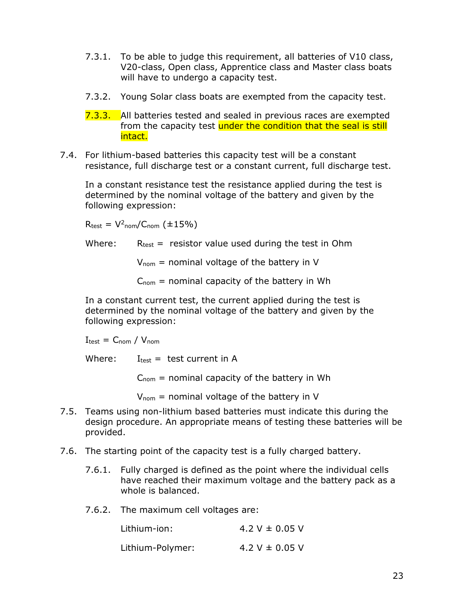- 7.3.1. To be able to judge this requirement, all batteries of V10 class, V20-class, Open class, Apprentice class and Master class boats will have to undergo a capacity test.
- 7.3.2. Young Solar class boats are exempted from the capacity test.
- **7.3.3.** All batteries tested and sealed in previous races are exempted from the capacity test under the condition that the seal is still intact.
- 7.4. For lithium-based batteries this capacity test will be a constant resistance, full discharge test or a constant current, full discharge test.

In a constant resistance test the resistance applied during the test is determined by the nominal voltage of the battery and given by the following expression:

 $R_{test} = V^2_{nom}/C_{nom}$  (±15%)

Where:  $R_{test}$  = resistor value used during the test in Ohm

 $V_{\text{nom}}$  = nominal voltage of the battery in V

 $C_{\text{nom}}$  = nominal capacity of the battery in Wh

In a constant current test, the current applied during the test is determined by the nominal voltage of the battery and given by the following expression:

$$
I_{\text{test}} = C_{\text{nom}} / V_{\text{nom}}
$$

Where:  $I_{\text{test}} = \text{test current in A}$ 

 $C_{\text{nom}}$  = nominal capacity of the battery in Wh

 $V_{\text{nom}}$  = nominal voltage of the battery in V

- 7.5. Teams using non-lithium based batteries must indicate this during the design procedure. An appropriate means of testing these batteries will be provided.
- 7.6. The starting point of the capacity test is a fully charged battery.
	- 7.6.1. Fully charged is defined as the point where the individual cells have reached their maximum voltage and the battery pack as a whole is balanced.
	- 7.6.2. The maximum cell voltages are:

| Lithium-ion:     | 4.2 V $\pm$ 0.05 V |
|------------------|--------------------|
| Lithium-Polymer: | 4.2 V $\pm$ 0.05 V |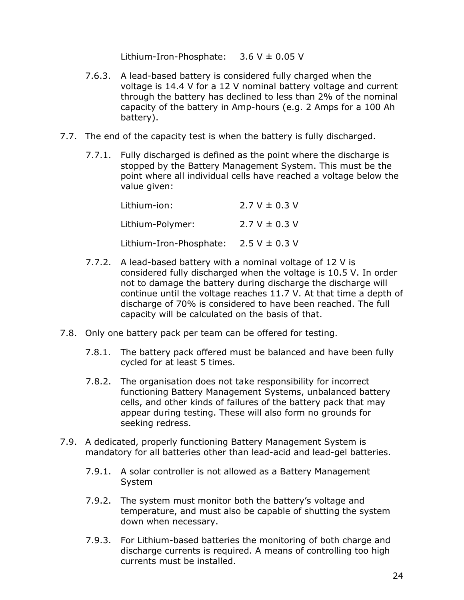Lithium-Iron-Phosphate:  $3.6 \text{ V} \pm 0.05 \text{ V}$ 

- 7.6.3. A lead-based battery is considered fully charged when the voltage is 14.4 V for a 12 V nominal battery voltage and current through the battery has declined to less than 2% of the nominal capacity of the battery in Amp-hours (e.g. 2 Amps for a 100 Ah battery).
- 7.7. The end of the capacity test is when the battery is fully discharged.
	- 7.7.1. Fully discharged is defined as the point where the discharge is stopped by the Battery Management System. This must be the point where all individual cells have reached a voltage below the value given:

| Lithium-ion:            | $2.7 V \pm 0.3 V$ |
|-------------------------|-------------------|
| Lithium-Polymer:        | $2.7 V \pm 0.3 V$ |
| Lithium-Iron-Phosphate: | $2.5 V \pm 0.3 V$ |

- 7.7.2. A lead-based battery with a nominal voltage of 12 V is considered fully discharged when the voltage is 10.5 V. In order not to damage the battery during discharge the discharge will continue until the voltage reaches 11.7 V. At that time a depth of discharge of 70% is considered to have been reached. The full capacity will be calculated on the basis of that.
- 7.8. Only one battery pack per team can be offered for testing.
	- 7.8.1. The battery pack offered must be balanced and have been fully cycled for at least 5 times.
	- 7.8.2. The organisation does not take responsibility for incorrect functioning Battery Management Systems, unbalanced battery cells, and other kinds of failures of the battery pack that may appear during testing. These will also form no grounds for seeking redress.
- 7.9. A dedicated, properly functioning Battery Management System is mandatory for all batteries other than lead-acid and lead-gel batteries.
	- 7.9.1. A solar controller is not allowed as a Battery Management System
	- 7.9.2. The system must monitor both the battery's voltage and temperature, and must also be capable of shutting the system down when necessary.
	- 7.9.3. For Lithium-based batteries the monitoring of both charge and discharge currents is required. A means of controlling too high currents must be installed.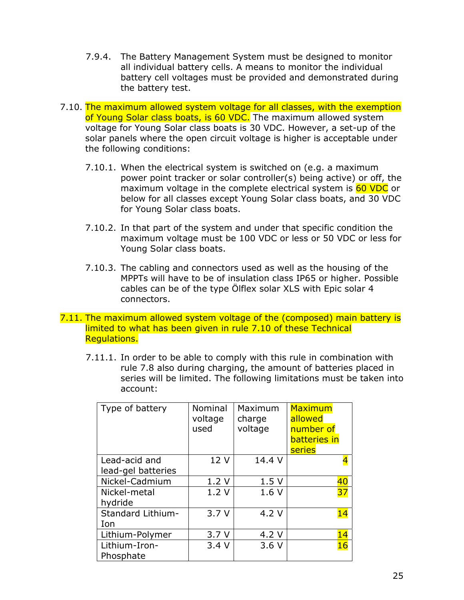- 7.9.4. The Battery Management System must be designed to monitor all individual battery cells. A means to monitor the individual battery cell voltages must be provided and demonstrated during the battery test.
- 7.10. The maximum allowed system voltage for all classes, with the exemption of Young Solar class boats, is 60 VDC. The maximum allowed system voltage for Young Solar class boats is 30 VDC. However, a set-up of the solar panels where the open circuit voltage is higher is acceptable under the following conditions:
	- 7.10.1. When the electrical system is switched on (e.g. a maximum power point tracker or solar controller(s) being active) or off, the maximum voltage in the complete electrical system is 60 VDC or below for all classes except Young Solar class boats, and 30 VDC for Young Solar class boats.
	- 7.10.2. In that part of the system and under that specific condition the maximum voltage must be 100 VDC or less or 50 VDC or less for Young Solar class boats.
	- 7.10.3. The cabling and connectors used as well as the housing of the MPPTs will have to be of insulation class IP65 or higher. Possible cables can be of the type Ölflex solar XLS with Epic solar 4 connectors.
- 7.11. The maximum allowed system voltage of the (composed) main battery is limited to what has been given in rule 7.10 of these Technical Regulations.
	- 7.11.1. In order to be able to comply with this rule in combination with rule 7.8 also during charging, the amount of batteries placed in series will be limited. The following limitations must be taken into account:

| Type of battery                     | Nominal<br>voltage<br>used | Maximum<br>charge<br>voltage | Maximum<br>allowed<br>number of<br>batteries in<br>series |
|-------------------------------------|----------------------------|------------------------------|-----------------------------------------------------------|
| Lead-acid and<br>lead-gel batteries | 12 V                       | 14.4 V                       |                                                           |
| Nickel-Cadmium                      | 1.2V                       | 1.5V                         | 40                                                        |
| Nickel-metal<br>hydride             | 1.2V                       | 1.6V                         | 37                                                        |
| Standard Lithium-<br>Ion            | 3.7V                       | 4.2 V                        | 14                                                        |
| Lithium-Polymer                     | 3.7V                       | 4.2 V                        | 14                                                        |
| Lithium-Iron-<br>Phosphate          | 3.4V                       | 3.6V                         | 16                                                        |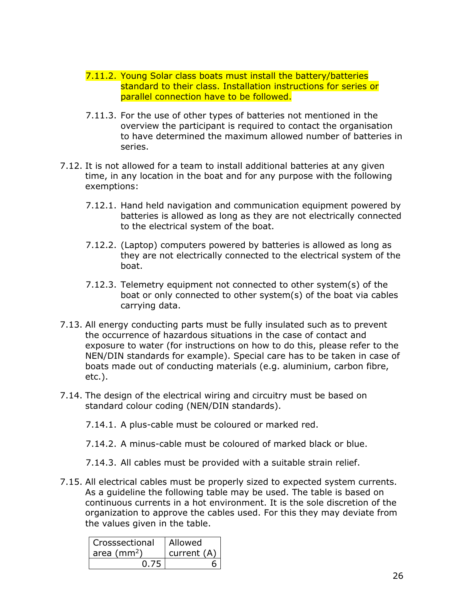- 7.11.2. Young Solar class boats must install the battery/batteries standard to their class. Installation instructions for series or parallel connection have to be followed.
- 7.11.3. For the use of other types of batteries not mentioned in the overview the participant is required to contact the organisation to have determined the maximum allowed number of batteries in series.
- 7.12. It is not allowed for a team to install additional batteries at any given time, in any location in the boat and for any purpose with the following exemptions:
	- 7.12.1. Hand held navigation and communication equipment powered by batteries is allowed as long as they are not electrically connected to the electrical system of the boat.
	- 7.12.2. (Laptop) computers powered by batteries is allowed as long as they are not electrically connected to the electrical system of the boat.
	- 7.12.3. Telemetry equipment not connected to other system(s) of the boat or only connected to other system(s) of the boat via cables carrying data.
- 7.13. All energy conducting parts must be fully insulated such as to prevent the occurrence of hazardous situations in the case of contact and exposure to water (for instructions on how to do this, please refer to the NEN/DIN standards for example). Special care has to be taken in case of boats made out of conducting materials (e.g. aluminium, carbon fibre, etc.).
- 7.14. The design of the electrical wiring and circuitry must be based on standard colour coding (NEN/DIN standards).
	- 7.14.1. A plus-cable must be coloured or marked red.
	- 7.14.2. A minus-cable must be coloured of marked black or blue.
	- 7.14.3. All cables must be provided with a suitable strain relief.
- 7.15. All electrical cables must be properly sized to expected system currents. As a guideline the following table may be used. The table is based on continuous currents in a hot environment. It is the sole discretion of the organization to approve the cables used. For this they may deviate from the values given in the table.

| Crosssectional | Allowed     |
|----------------|-------------|
| area $(mm2)$   | current (A) |
|                |             |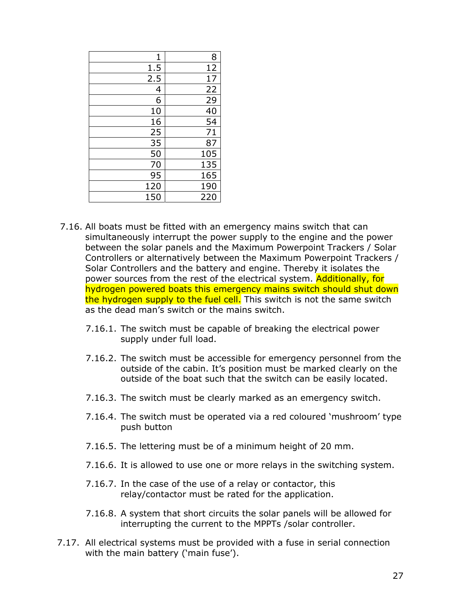| 1   | 8   |
|-----|-----|
| 1.5 | 12  |
| 2.5 | 17  |
| 4   | 22  |
| 6   | 29  |
| 10  | 40  |
| 16  | 54  |
| 25  | 71  |
| 35  | 87  |
| 50  | 105 |
| 70  | 135 |
| 95  | 165 |
| 120 | 190 |
| 150 | 220 |

- 7.16. All boats must be fitted with an emergency mains switch that can simultaneously interrupt the power supply to the engine and the power between the solar panels and the Maximum Powerpoint Trackers / Solar Controllers or alternatively between the Maximum Powerpoint Trackers / Solar Controllers and the battery and engine. Thereby it isolates the power sources from the rest of the electrical system. Additionally, for hydrogen powered boats this emergency mains switch should shut down the hydrogen supply to the fuel cell. This switch is not the same switch as the dead man's switch or the mains switch.
	- 7.16.1. The switch must be capable of breaking the electrical power supply under full load.
	- 7.16.2. The switch must be accessible for emergency personnel from the outside of the cabin. It's position must be marked clearly on the outside of the boat such that the switch can be easily located.
	- 7.16.3. The switch must be clearly marked as an emergency switch.
	- 7.16.4. The switch must be operated via a red coloured 'mushroom' type push button
	- 7.16.5. The lettering must be of a minimum height of 20 mm.
	- 7.16.6. It is allowed to use one or more relays in the switching system.
	- 7.16.7. In the case of the use of a relay or contactor, this relay/contactor must be rated for the application.
	- 7.16.8. A system that short circuits the solar panels will be allowed for interrupting the current to the MPPTs /solar controller.
- 7.17. All electrical systems must be provided with a fuse in serial connection with the main battery ('main fuse').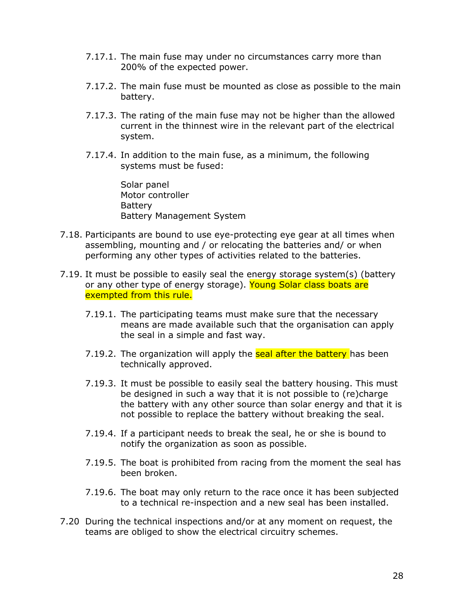- 7.17.1. The main fuse may under no circumstances carry more than 200% of the expected power.
- 7.17.2. The main fuse must be mounted as close as possible to the main battery.
- 7.17.3. The rating of the main fuse may not be higher than the allowed current in the thinnest wire in the relevant part of the electrical system.
- 7.17.4. In addition to the main fuse, as a minimum, the following systems must be fused:

Solar panel Motor controller **Battery** Battery Management System

- 7.18. Participants are bound to use eye-protecting eye gear at all times when assembling, mounting and / or relocating the batteries and/ or when performing any other types of activities related to the batteries.
- 7.19. It must be possible to easily seal the energy storage system(s) (battery or any other type of energy storage). Young Solar class boats are exempted from this rule.
	- 7.19.1. The participating teams must make sure that the necessary means are made available such that the organisation can apply the seal in a simple and fast way.
	- 7.19.2. The organization will apply the **seal after the battery** has been technically approved.
	- 7.19.3. It must be possible to easily seal the battery housing. This must be designed in such a way that it is not possible to (re)charge the battery with any other source than solar energy and that it is not possible to replace the battery without breaking the seal.
	- 7.19.4. If a participant needs to break the seal, he or she is bound to notify the organization as soon as possible.
	- 7.19.5. The boat is prohibited from racing from the moment the seal has been broken.
	- 7.19.6. The boat may only return to the race once it has been subjected to a technical re-inspection and a new seal has been installed.
- 7.20 During the technical inspections and/or at any moment on request, the teams are obliged to show the electrical circuitry schemes.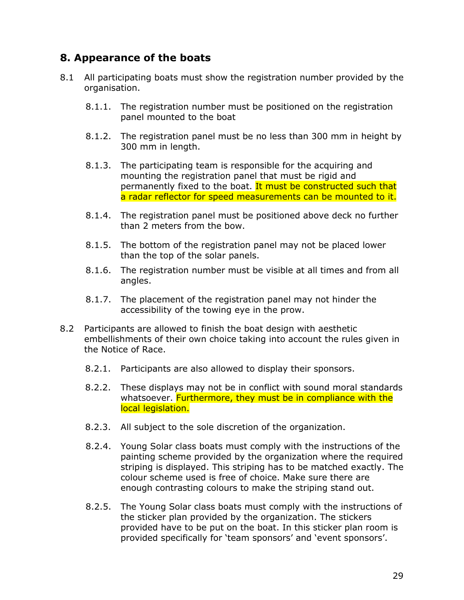## **8. Appearance of the boats**

- 8.1 All participating boats must show the registration number provided by the organisation.
	- 8.1.1. The registration number must be positioned on the registration panel mounted to the boat
	- 8.1.2. The registration panel must be no less than 300 mm in height by 300 mm in length.
	- 8.1.3. The participating team is responsible for the acquiring and mounting the registration panel that must be rigid and permanently fixed to the boat. It must be constructed such that a radar reflector for speed measurements can be mounted to it.
	- 8.1.4. The registration panel must be positioned above deck no further than 2 meters from the bow.
	- 8.1.5. The bottom of the registration panel may not be placed lower than the top of the solar panels.
	- 8.1.6. The registration number must be visible at all times and from all angles.
	- 8.1.7. The placement of the registration panel may not hinder the accessibility of the towing eye in the prow.
- 8.2 Participants are allowed to finish the boat design with aesthetic embellishments of their own choice taking into account the rules given in the Notice of Race.
	- 8.2.1. Participants are also allowed to display their sponsors.
	- 8.2.2. These displays may not be in conflict with sound moral standards whatsoever. **Furthermore, they must be in compliance with the** local legislation.
	- 8.2.3. All subject to the sole discretion of the organization.
	- 8.2.4. Young Solar class boats must comply with the instructions of the painting scheme provided by the organization where the required striping is displayed. This striping has to be matched exactly. The colour scheme used is free of choice. Make sure there are enough contrasting colours to make the striping stand out.
	- 8.2.5. The Young Solar class boats must comply with the instructions of the sticker plan provided by the organization. The stickers provided have to be put on the boat. In this sticker plan room is provided specifically for 'team sponsors' and 'event sponsors'.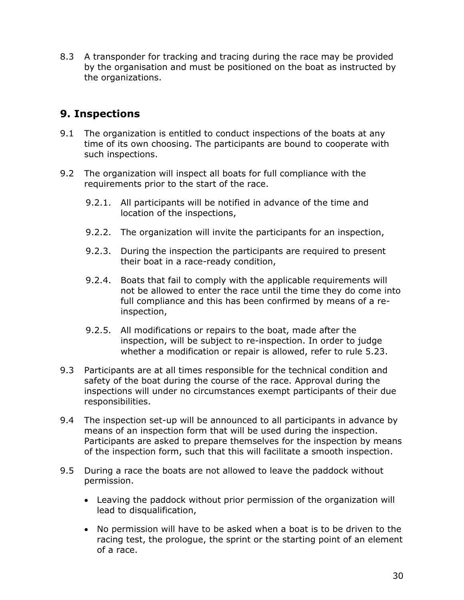8.3 A transponder for tracking and tracing during the race may be provided by the organisation and must be positioned on the boat as instructed by the organizations.

# **9. Inspections**

- 9.1 The organization is entitled to conduct inspections of the boats at any time of its own choosing. The participants are bound to cooperate with such inspections.
- 9.2 The organization will inspect all boats for full compliance with the requirements prior to the start of the race.
	- 9.2.1. All participants will be notified in advance of the time and location of the inspections,
	- 9.2.2. The organization will invite the participants for an inspection,
	- 9.2.3. During the inspection the participants are required to present their boat in a race-ready condition,
	- 9.2.4. Boats that fail to comply with the applicable requirements will not be allowed to enter the race until the time they do come into full compliance and this has been confirmed by means of a reinspection,
	- 9.2.5. All modifications or repairs to the boat, made after the inspection, will be subject to re-inspection. In order to judge whether a modification or repair is allowed, refer to rule 5.23.
- 9.3 Participants are at all times responsible for the technical condition and safety of the boat during the course of the race. Approval during the inspections will under no circumstances exempt participants of their due responsibilities.
- 9.4 The inspection set-up will be announced to all participants in advance by means of an inspection form that will be used during the inspection. Participants are asked to prepare themselves for the inspection by means of the inspection form, such that this will facilitate a smooth inspection.
- 9.5 During a race the boats are not allowed to leave the paddock without permission.
	- Leaving the paddock without prior permission of the organization will lead to disqualification,
	- No permission will have to be asked when a boat is to be driven to the racing test, the prologue, the sprint or the starting point of an element of a race.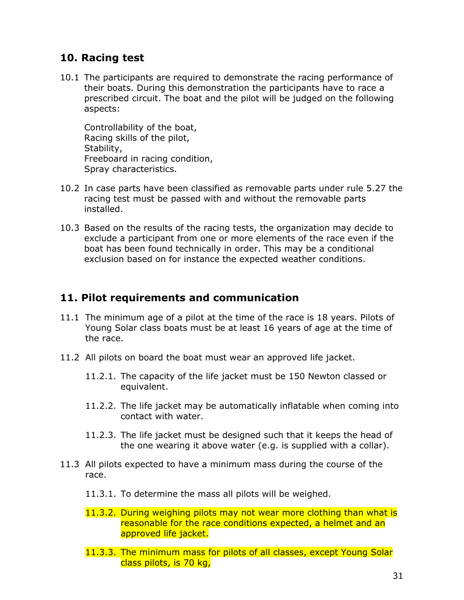# **10. Racing test**

10.1 The participants are required to demonstrate the racing performance of their boats. During this demonstration the participants have to race a prescribed circuit. The boat and the pilot will be judged on the following aspects:

Controllability of the boat, Racing skills of the pilot, Stability, Freeboard in racing condition, Spray characteristics.

- 10.2 In case parts have been classified as removable parts under rule 5.27 the racing test must be passed with and without the removable parts installed.
- 10.3 Based on the results of the racing tests, the organization may decide to exclude a participant from one or more elements of the race even if the boat has been found technically in order. This may be a conditional exclusion based on for instance the expected weather conditions.

### **11. Pilot requirements and communication**

- 11.1 The minimum age of a pilot at the time of the race is 18 years. Pilots of Young Solar class boats must be at least 16 years of age at the time of the race.
- 11.2 All pilots on board the boat must wear an approved life jacket.
	- 11.2.1. The capacity of the life jacket must be 150 Newton classed or equivalent.
	- 11.2.2. The life jacket may be automatically inflatable when coming into contact with water.
	- 11.2.3. The life jacket must be designed such that it keeps the head of the one wearing it above water (e.g. is supplied with a collar).
- 11.3 All pilots expected to have a minimum mass during the course of the race.
	- 11.3.1. To determine the mass all pilots will be weighed.
	- 11.3.2. During weighing pilots may not wear more clothing than what is reasonable for the race conditions expected, a helmet and an approved life jacket.
	- 11.3.3. The minimum mass for pilots of all classes, except Young Solar class pilots, is 70 kg,